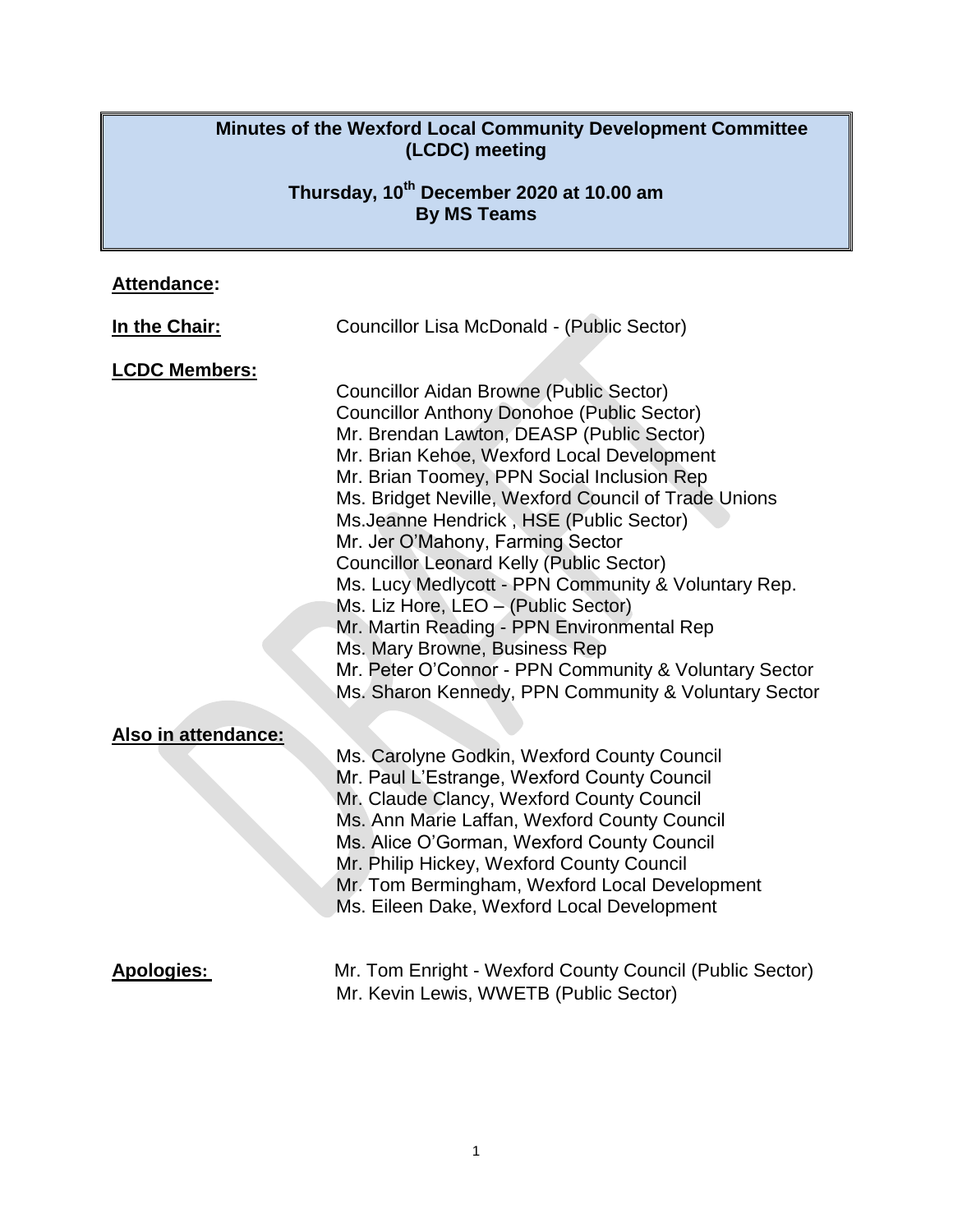#### **Minutes of the Wexford Local Community Development Committee (LCDC) meeting**

## **Thursday, 10th December 2020 at 10.00 am By MS Teams**

# **Attendance:**

| In the Chair:        | Councillor Lisa McDonald - (Public Sector)                                                                                                                                                                                                                                                                                                                                                                                                                                                                                                                                                                                                                                                                                           |
|----------------------|--------------------------------------------------------------------------------------------------------------------------------------------------------------------------------------------------------------------------------------------------------------------------------------------------------------------------------------------------------------------------------------------------------------------------------------------------------------------------------------------------------------------------------------------------------------------------------------------------------------------------------------------------------------------------------------------------------------------------------------|
| <b>LCDC Members:</b> | <b>Councillor Aidan Browne (Public Sector)</b><br><b>Councillor Anthony Donohoe (Public Sector)</b><br>Mr. Brendan Lawton, DEASP (Public Sector)<br>Mr. Brian Kehoe, Wexford Local Development<br>Mr. Brian Toomey, PPN Social Inclusion Rep<br>Ms. Bridget Neville, Wexford Council of Trade Unions<br>Ms.Jeanne Hendrick, HSE (Public Sector)<br>Mr. Jer O'Mahony, Farming Sector<br><b>Councillor Leonard Kelly (Public Sector)</b><br>Ms. Lucy Medlycott - PPN Community & Voluntary Rep.<br>Ms. Liz Hore, LEO - (Public Sector)<br>Mr. Martin Reading - PPN Environmental Rep<br>Ms. Mary Browne, Business Rep<br>Mr. Peter O'Connor - PPN Community & Voluntary Sector<br>Ms. Sharon Kennedy, PPN Community & Voluntary Sector |
| Also in attendance:  | Ms. Carolyne Godkin, Wexford County Council<br>Mr. Paul L'Estrange, Wexford County Council<br>Mr. Claude Clancy, Wexford County Council<br>Ms. Ann Marie Laffan, Wexford County Council<br>Ms. Alice O'Gorman, Wexford County Council<br>Mr. Philip Hickey, Wexford County Council<br>Mr. Tom Bermingham, Wexford Local Development<br>Ms. Eileen Dake, Wexford Local Development                                                                                                                                                                                                                                                                                                                                                    |
| <b>Apologies:</b>    | Mr. Tom Enright - Wexford County Council (Public Sector)<br>Mr. Kevin Lewis, WWETB (Public Sector)                                                                                                                                                                                                                                                                                                                                                                                                                                                                                                                                                                                                                                   |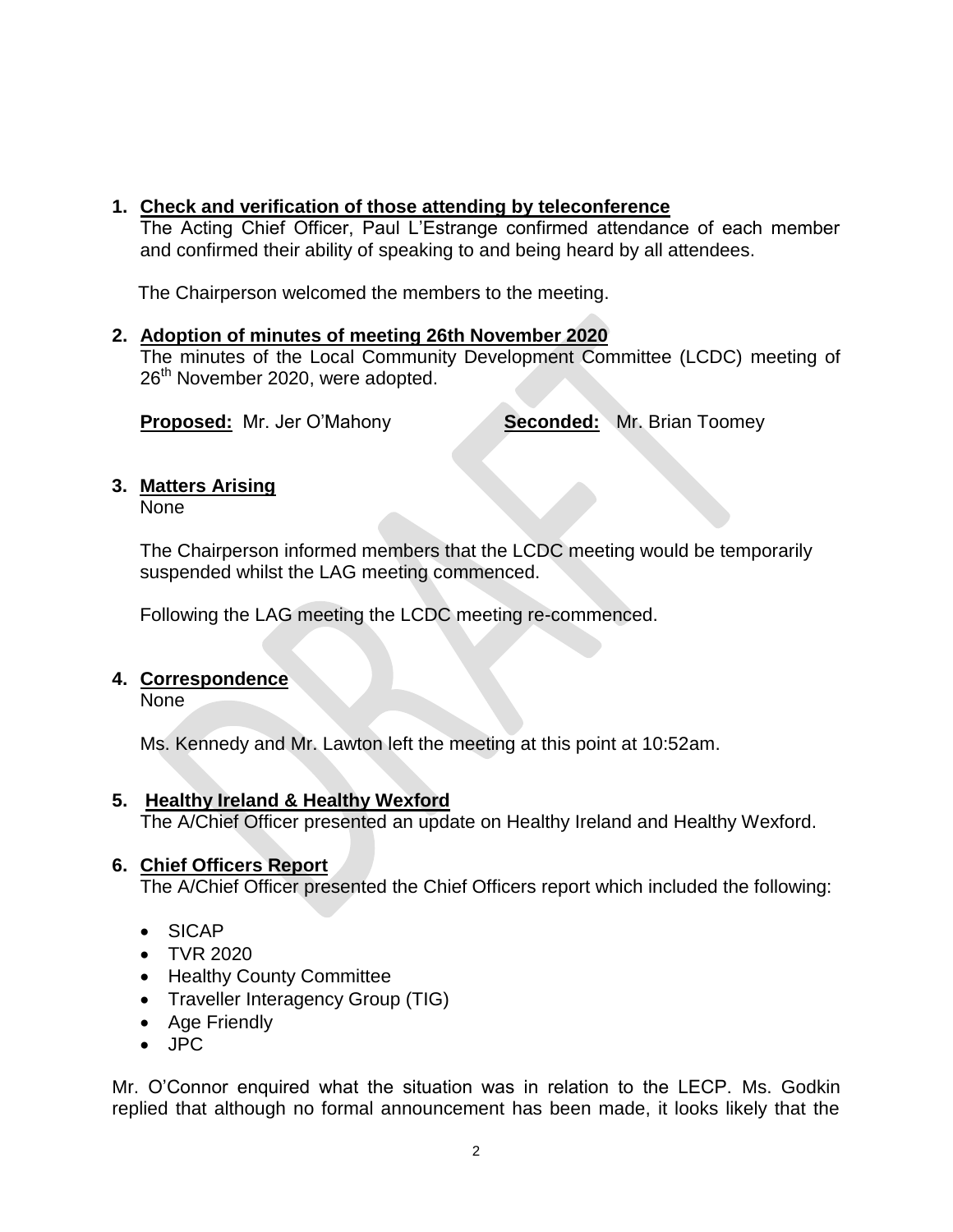### **1. Check and verification of those attending by teleconference**

The Acting Chief Officer, Paul L'Estrange confirmed attendance of each member and confirmed their ability of speaking to and being heard by all attendees.

The Chairperson welcomed the members to the meeting.

#### **2. Adoption of minutes of meeting 26th November 2020**

The minutes of the Local Community Development Committee (LCDC) meeting of 26<sup>th</sup> November 2020, were adopted.

**Proposed:** Mr. Jer O'Mahony **Seconded:** Mr. Brian Toomey

### **3. Matters Arising**

None

The Chairperson informed members that the LCDC meeting would be temporarily suspended whilst the LAG meeting commenced.

Following the LAG meeting the LCDC meeting re-commenced.

#### **4. Correspondence**

None

Ms. Kennedy and Mr. Lawton left the meeting at this point at 10:52am.

#### **5. Healthy Ireland & Healthy Wexford**

The A/Chief Officer presented an update on Healthy Ireland and Healthy Wexford.

#### **6. Chief Officers Report**

The A/Chief Officer presented the Chief Officers report which included the following:

- SICAP
- TVR 2020
- Healthy County Committee
- Traveller Interagency Group (TIG)
- Age Friendly
- JPC

Mr. O'Connor enquired what the situation was in relation to the LECP. Ms. Godkin replied that although no formal announcement has been made, it looks likely that the